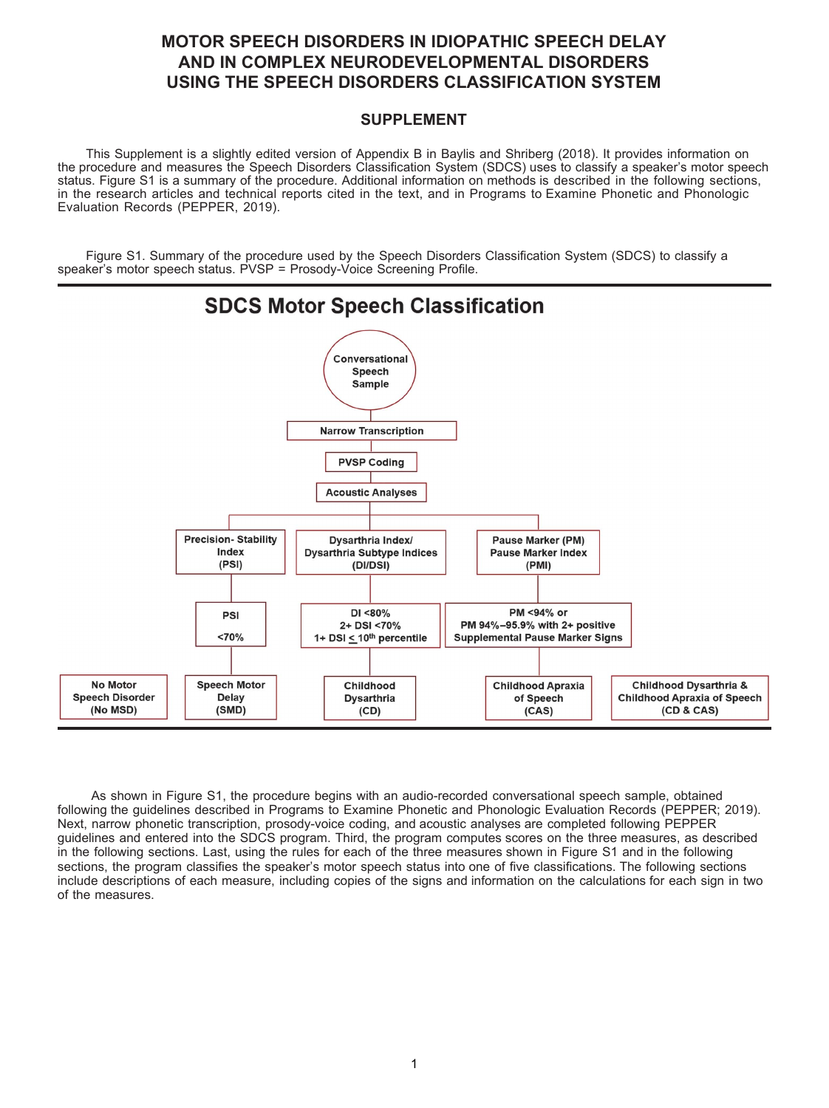# **MOTOR SPEECH DISORDERS IN IDIOPATHIC SPEECH DELAY AND IN COMPLEX NEURODEVELOPMENTAL DISORDERS USING THE SPEECH DISORDERS CLASSIFICATION SYSTEM**

### **SUPPLEMENT**

This Supplement is a slightly edited version of Appendix B in Baylis and Shriberg (2018). It provides information on the procedure and measures the Speech Disorders Classification System (SDCS) uses to classify a speaker's motor speech status. Figure S1 is a summary of the procedure. Additional information on methods is described in the following sections, in the research articles and technical reports cited in the text, and in Programs to Examine Phonetic and Phonologic Evaluation Records (PEPPER, 2019).

Figure S1. Summary of the procedure used by the Speech Disorders Classification System (SDCS) to classify a speaker's motor speech status. PVSP = Prosody-Voice Screening Profile.



As shown in Figure S1, the procedure begins with an audio-recorded conversational speech sample, obtained following the guidelines described in Programs to Examine Phonetic and Phonologic Evaluation Records (PEPPER; 2019). Next, narrow phonetic transcription, prosody-voice coding, and acoustic analyses are completed following PEPPER guidelines and entered into the SDCS program. Third, the program computes scores on the three measures, as described in the following sections. Last, using the rules for each of the three measures shown in Figure S1 and in the following sections, the program classifies the speaker's motor speech status into one of five classifications. The following sections include descriptions of each measure, including copies of the signs and information on the calculations for each sign in two of the measures.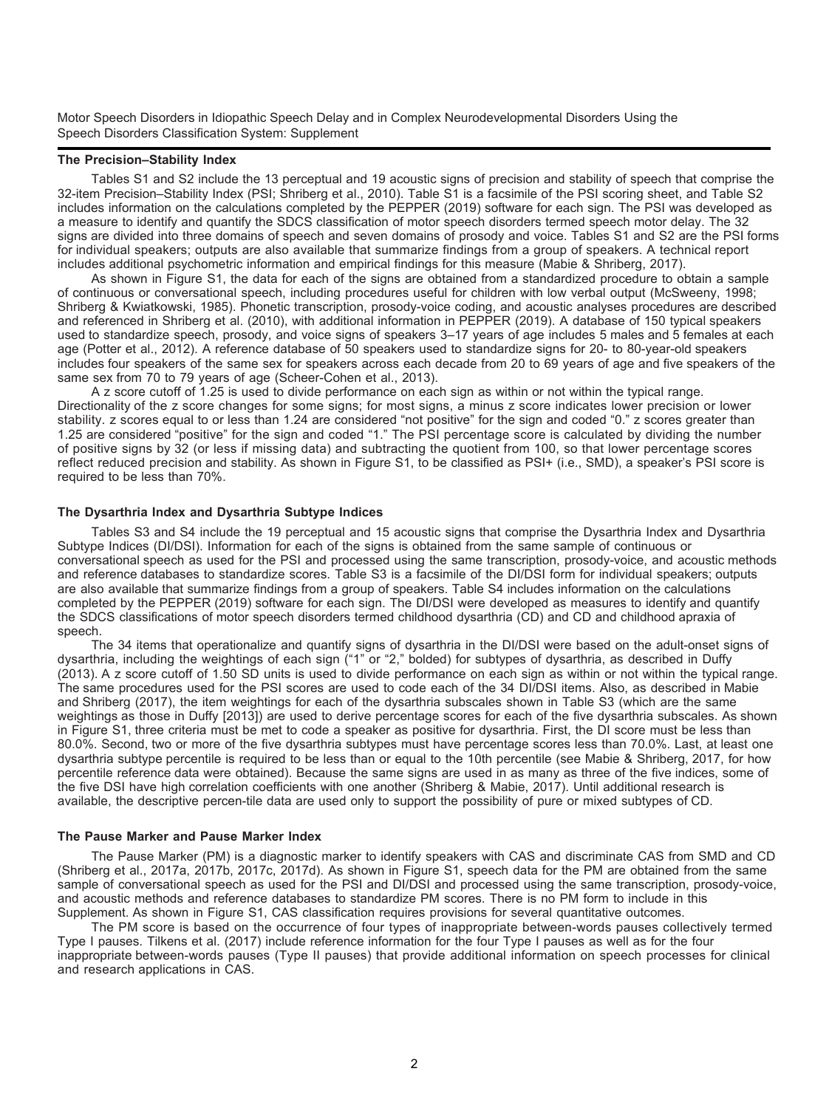#### **The Precision–Stability Index**

Tables S1 and S2 include the 13 perceptual and 19 acoustic signs of precision and stability of speech that comprise the 32-item Precision–Stability Index (PSI; Shriberg et al., 2010). Table S1 is a facsimile of the PSI scoring sheet, and Table S2 includes information on the calculations completed by the PEPPER (2019) software for each sign. The PSI was developed as a measure to identify and quantify the SDCS classification of motor speech disorders termed speech motor delay. The 32 signs are divided into three domains of speech and seven domains of prosody and voice. Tables S1 and S2 are the PSI forms for individual speakers; outputs are also available that summarize findings from a group of speakers. A technical report includes additional psychometric information and empirical findings for this measure (Mabie & Shriberg, 2017).

As shown in Figure S1, the data for each of the signs are obtained from a standardized procedure to obtain a sample of continuous or conversational speech, including procedures useful for children with low verbal output (McSweeny, 1998; Shriberg & Kwiatkowski, 1985). Phonetic transcription, prosody-voice coding, and acoustic analyses procedures are described and referenced in Shriberg et al. (2010), with additional information in PEPPER (2019). A database of 150 typical speakers used to standardize speech, prosody, and voice signs of speakers 3–17 years of age includes 5 males and 5 females at each age (Potter et al., 2012). A reference database of 50 speakers used to standardize signs for 20- to 80-year-old speakers includes four speakers of the same sex for speakers across each decade from 20 to 69 years of age and five speakers of the same sex from 70 to 79 years of age (Scheer-Cohen et al., 2013).

A z score cutoff of 1.25 is used to divide performance on each sign as within or not within the typical range. Directionality of the z score changes for some signs; for most signs, a minus z score indicates lower precision or lower stability. z scores equal to or less than 1.24 are considered "not positive" for the sign and coded "0." z scores greater than 1.25 are considered "positive" for the sign and coded "1." The PSI percentage score is calculated by dividing the number of positive signs by 32 (or less if missing data) and subtracting the quotient from 100, so that lower percentage scores reflect reduced precision and stability. As shown in Figure S1, to be classified as PSI+ (i.e., SMD), a speaker's PSI score is required to be less than 70%.

#### **The Dysarthria Index and Dysarthria Subtype Indices**

Tables S3 and S4 include the 19 perceptual and 15 acoustic signs that comprise the Dysarthria Index and Dysarthria Subtype Indices (DI/DSI). Information for each of the signs is obtained from the same sample of continuous or conversational speech as used for the PSI and processed using the same transcription, prosody-voice, and acoustic methods and reference databases to standardize scores. Table S3 is a facsimile of the DI/DSI form for individual speakers; outputs are also available that summarize findings from a group of speakers. Table S4 includes information on the calculations completed by the PEPPER (2019) software for each sign. The DI/DSI were developed as measures to identify and quantify the SDCS classifications of motor speech disorders termed childhood dysarthria (CD) and CD and childhood apraxia of speech.

The 34 items that operationalize and quantify signs of dysarthria in the DI/DSI were based on the adult-onset signs of dysarthria, including the weightings of each sign ("1" or "2," bolded) for subtypes of dysarthria, as described in Duffy (2013). A z score cutoff of 1.50 SD units is used to divide performance on each sign as within or not within the typical range. The same procedures used for the PSI scores are used to code each of the 34 DI/DSI items. Also, as described in Mabie and Shriberg (2017), the item weightings for each of the dysarthria subscales shown in Table S3 (which are the same weightings as those in Duffy [2013]) are used to derive percentage scores for each of the five dysarthria subscales. As shown in Figure S1, three criteria must be met to code a speaker as positive for dysarthria. First, the DI score must be less than 80.0%. Second, two or more of the five dysarthria subtypes must have percentage scores less than 70.0%. Last, at least one dysarthria subtype percentile is required to be less than or equal to the 10th percentile (see Mabie & Shriberg, 2017, for how percentile reference data were obtained). Because the same signs are used in as many as three of the five indices, some of the five DSI have high correlation coefficients with one another (Shriberg & Mabie, 2017). Until additional research is available, the descriptive percen-tile data are used only to support the possibility of pure or mixed subtypes of CD.

#### **The Pause Marker and Pause Marker Index**

The Pause Marker (PM) is a diagnostic marker to identify speakers with CAS and discriminate CAS from SMD and CD (Shriberg et al., 2017a, 2017b, 2017c, 2017d). As shown in Figure S1, speech data for the PM are obtained from the same sample of conversational speech as used for the PSI and DI/DSI and processed using the same transcription, prosody-voice, and acoustic methods and reference databases to standardize PM scores. There is no PM form to include in this Supplement. As shown in Figure S1, CAS classification requires provisions for several quantitative outcomes.

The PM score is based on the occurrence of four types of inappropriate between-words pauses collectively termed Type I pauses. Tilkens et al. (2017) include reference information for the four Type I pauses as well as for the four inappropriate between-words pauses (Type II pauses) that provide additional information on speech processes for clinical and research applications in CAS.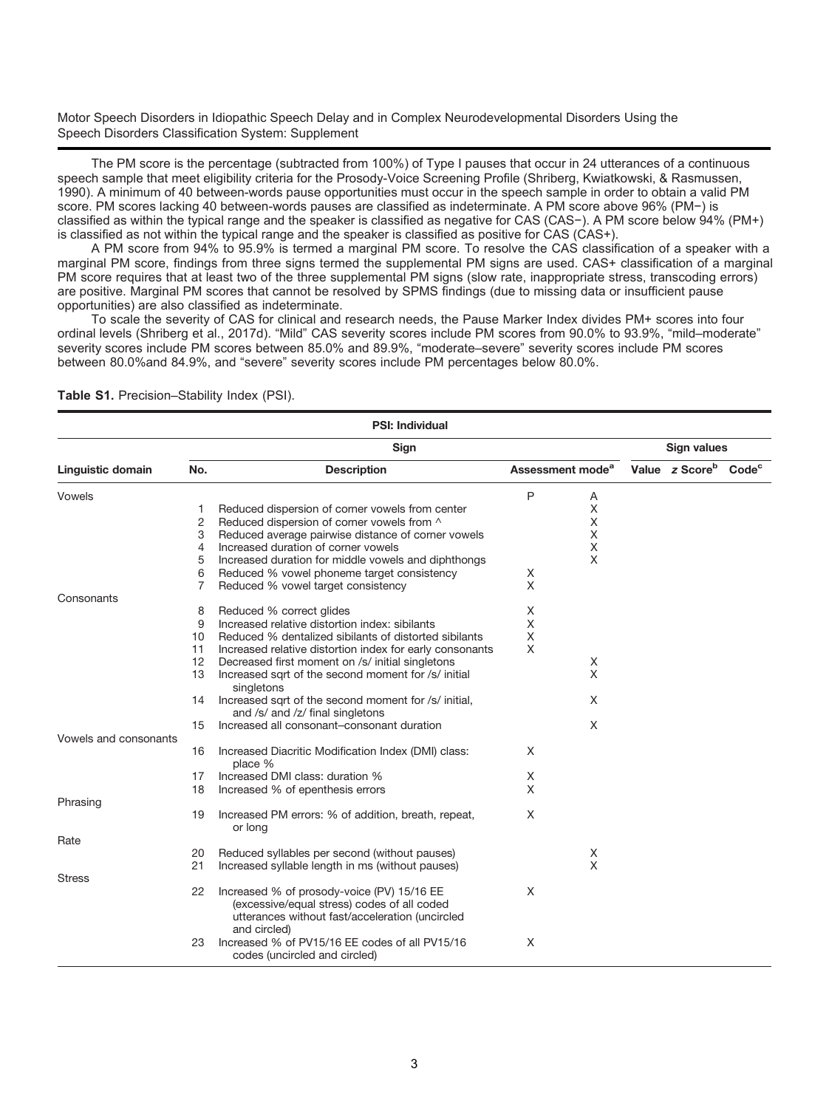The PM score is the percentage (subtracted from 100%) of Type I pauses that occur in 24 utterances of a continuous speech sample that meet eligibility criteria for the Prosody-Voice Screening Profile (Shriberg, Kwiatkowski, & Rasmussen, 1990). A minimum of 40 between-words pause opportunities must occur in the speech sample in order to obtain a valid PM score. PM scores lacking 40 between-words pauses are classified as indeterminate. A PM score above 96% (PM−) is classified as within the typical range and the speaker is classified as negative for CAS (CAS−). A PM score below 94% (PM+) is classified as not within the typical range and the speaker is classified as positive for CAS (CAS+).

A PM score from 94% to 95.9% is termed a marginal PM score. To resolve the CAS classification of a speaker with a marginal PM score, findings from three signs termed the supplemental PM signs are used. CAS+ classification of a marginal PM score requires that at least two of the three supplemental PM signs (slow rate, inappropriate stress, transcoding errors) are positive. Marginal PM scores that cannot be resolved by SPMS findings (due to missing data or insufficient pause opportunities) are also classified as indeterminate.

To scale the severity of CAS for clinical and research needs, the Pause Marker Index divides PM+ scores into four ordinal levels (Shriberg et al., 2017d). "Mild" CAS severity scores include PM scores from 90.0% to 93.9%, "mild–moderate" severity scores include PM scores between 85.0% and 89.9%, "moderate–severe" severity scores include PM scores between 80.0%and 84.9%, and "severe" severity scores include PM percentages below 80.0%.

|                       |     | <b>PSI: Individual</b>                                                                                                                                       |   |                              |                                              |  |
|-----------------------|-----|--------------------------------------------------------------------------------------------------------------------------------------------------------------|---|------------------------------|----------------------------------------------|--|
|                       |     | Sign                                                                                                                                                         |   |                              | <b>Sign values</b>                           |  |
| Linguistic domain     | No. | <b>Description</b>                                                                                                                                           |   | Assessment mode <sup>a</sup> | Value z Score <sup>b</sup> Code <sup>c</sup> |  |
| Vowels                |     |                                                                                                                                                              | P | Α                            |                                              |  |
|                       | 1   | Reduced dispersion of corner vowels from center                                                                                                              |   | X                            |                                              |  |
|                       | 2   | Reduced dispersion of corner vowels from ^                                                                                                                   |   | Χ                            |                                              |  |
|                       | 3   | Reduced average pairwise distance of corner vowels                                                                                                           |   | Χ                            |                                              |  |
|                       | 4   | Increased duration of corner vowels                                                                                                                          |   | Χ                            |                                              |  |
|                       | 5   | Increased duration for middle vowels and diphthongs                                                                                                          |   | X                            |                                              |  |
|                       | 6   | Reduced % vowel phoneme target consistency                                                                                                                   | Χ |                              |                                              |  |
|                       | 7   | Reduced % vowel target consistency                                                                                                                           | X |                              |                                              |  |
| Consonants            |     |                                                                                                                                                              |   |                              |                                              |  |
|                       | 8   | Reduced % correct glides                                                                                                                                     | X |                              |                                              |  |
|                       | 9   | Increased relative distortion index: sibilants                                                                                                               | X |                              |                                              |  |
|                       | 10  | Reduced % dentalized sibilants of distorted sibilants                                                                                                        | X |                              |                                              |  |
|                       | 11  | Increased relative distortion index for early consonants                                                                                                     | X |                              |                                              |  |
|                       | 12  | Decreased first moment on /s/ initial singletons                                                                                                             |   | X                            |                                              |  |
|                       | 13  | Increased sqrt of the second moment for /s/ initial<br>singletons                                                                                            |   | X                            |                                              |  |
|                       | 14  | Increased sqrt of the second moment for /s/ initial,<br>and /s/ and /z/ final singletons                                                                     |   | X                            |                                              |  |
|                       | 15  | Increased all consonant-consonant duration                                                                                                                   |   | X                            |                                              |  |
| Vowels and consonants |     |                                                                                                                                                              |   |                              |                                              |  |
|                       | 16  | Increased Diacritic Modification Index (DMI) class:<br>place %                                                                                               | X |                              |                                              |  |
|                       | 17  | Increased DMI class: duration %                                                                                                                              | Χ |                              |                                              |  |
|                       | 18  | Increased % of epenthesis errors                                                                                                                             | X |                              |                                              |  |
| Phrasing              |     |                                                                                                                                                              |   |                              |                                              |  |
|                       | 19  | Increased PM errors: % of addition, breath, repeat,<br>or long                                                                                               | X |                              |                                              |  |
| Rate                  |     |                                                                                                                                                              |   |                              |                                              |  |
|                       | 20  | Reduced syllables per second (without pauses)                                                                                                                |   | X                            |                                              |  |
|                       | 21  | Increased syllable length in ms (without pauses)                                                                                                             |   | X                            |                                              |  |
| <b>Stress</b>         |     |                                                                                                                                                              |   |                              |                                              |  |
|                       | 22  | Increased % of prosody-voice (PV) 15/16 EE<br>(excessive/equal stress) codes of all coded<br>utterances without fast/acceleration (uncircled<br>and circled) | X |                              |                                              |  |
|                       | 23  | Increased % of PV15/16 EE codes of all PV15/16<br>codes (uncircled and circled)                                                                              | X |                              |                                              |  |

**Table S1.** Precision–Stability Index (PSI).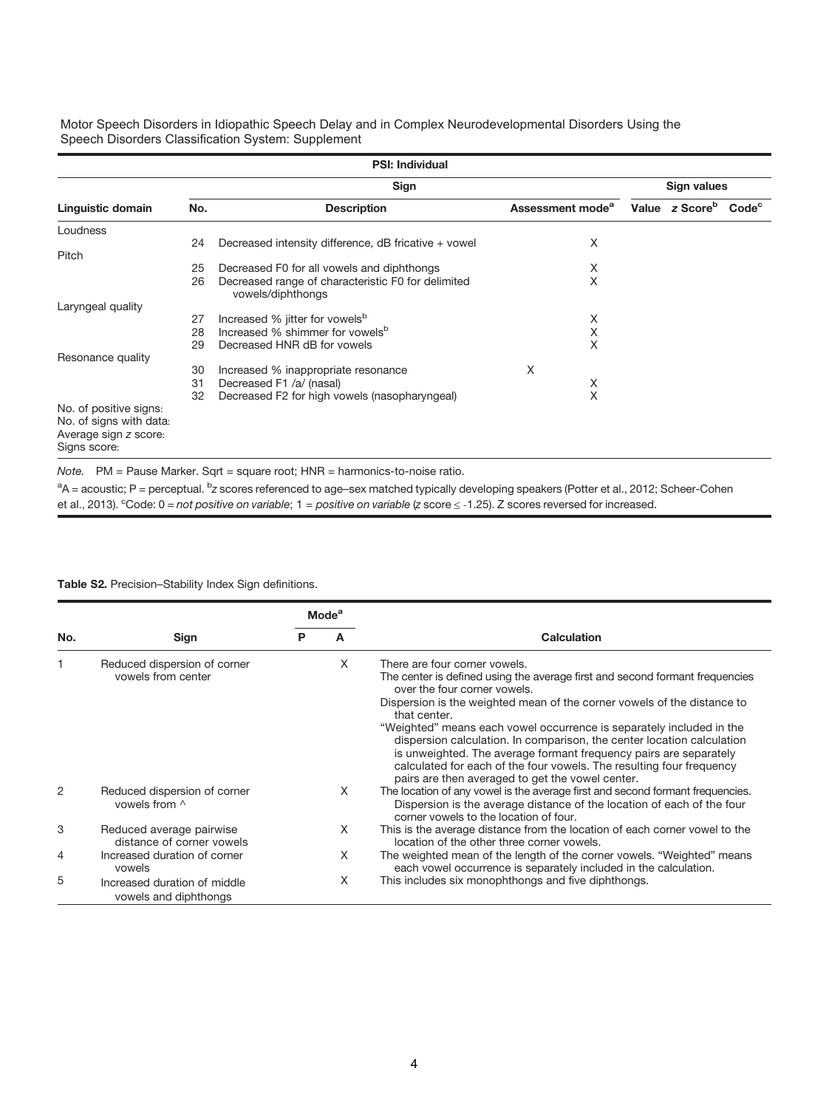| <b>PSI: Individual</b>                                                                     |             |                                                                         |                              |  |                            |                   |  |
|--------------------------------------------------------------------------------------------|-------------|-------------------------------------------------------------------------|------------------------------|--|----------------------------|-------------------|--|
|                                                                                            | Sign values |                                                                         |                              |  |                            |                   |  |
| Linguistic domain                                                                          | No.         | <b>Description</b>                                                      | Assessment mode <sup>a</sup> |  | Value z Score <sup>b</sup> | Code <sup>c</sup> |  |
| Loudness                                                                                   |             |                                                                         |                              |  |                            |                   |  |
| Pitch                                                                                      | 24          | Decreased intensity difference, dB fricative + vowel                    | X                            |  |                            |                   |  |
|                                                                                            | 25          | Decreased F0 for all vowels and diphthongs                              | X                            |  |                            |                   |  |
|                                                                                            | 26          | Decreased range of characteristic F0 for delimited<br>vowels/diphthongs | X                            |  |                            |                   |  |
| Laryngeal quality                                                                          |             |                                                                         |                              |  |                            |                   |  |
|                                                                                            | 27          | Increased % jitter for vowels <sup>b</sup>                              | Χ                            |  |                            |                   |  |
|                                                                                            | 28          | Increased % shimmer for vowels <sup>b</sup>                             | X                            |  |                            |                   |  |
|                                                                                            | 29          | Decreased HNR dB for vowels                                             | X                            |  |                            |                   |  |
| Resonance quality                                                                          | 30          | Increased % inappropriate resonance                                     | X                            |  |                            |                   |  |
|                                                                                            | 31          | Decreased F1 /a/ (nasal)                                                | X                            |  |                            |                   |  |
|                                                                                            | 32          | Decreased F2 for high vowels (nasopharyngeal)                           | X                            |  |                            |                   |  |
| No. of positive signs:<br>No. of signs with data:<br>Average sign z score:<br>Signs score: |             |                                                                         |                              |  |                            |                   |  |

Note. PM = Pause Marker. Sqrt = square root; HNR = harmonics-to-noise ratio.

 $\rm{^{a}A}$  = acoustic; P = perceptual.  $\rm{^{b}z}$  scores referenced to age–sex matched typically developing speakers (Potter et al., 2012; Scheer-Cohen et al., 2013). <sup>c</sup>Code: 0 = not positive on variable; 1 = positive on variable (z score  $\leq$  -1.25). Z scores reversed for increased.

Table **S**2. Precision–Stability Index Sign definitions.

|     |                                                       |   | <b>Mode</b> <sup>a</sup> |                                                                                                                                                                                                                                                                                                                                                                                                                                                                                                                                                                                             |
|-----|-------------------------------------------------------|---|--------------------------|---------------------------------------------------------------------------------------------------------------------------------------------------------------------------------------------------------------------------------------------------------------------------------------------------------------------------------------------------------------------------------------------------------------------------------------------------------------------------------------------------------------------------------------------------------------------------------------------|
| No. | Sign                                                  | P |                          | Calculation                                                                                                                                                                                                                                                                                                                                                                                                                                                                                                                                                                                 |
|     | Reduced dispersion of corner<br>vowels from center    |   | X                        | There are four corner vowels.<br>The center is defined using the average first and second formant frequencies<br>over the four corner yowels.<br>Dispersion is the weighted mean of the corner vowels of the distance to<br>that center.<br>"Weighted" means each vowel occurrence is separately included in the<br>dispersion calculation. In comparison, the center location calculation<br>is unweighted. The average formant frequency pairs are separately<br>calculated for each of the four vowels. The resulting four frequency<br>pairs are then averaged to get the vowel center. |
| 2   | Reduced dispersion of corner<br>vowels from ^         |   | X                        | The location of any vowel is the average first and second formant frequencies.<br>Dispersion is the average distance of the location of each of the four<br>corner vowels to the location of four.                                                                                                                                                                                                                                                                                                                                                                                          |
| 3   | Reduced average pairwise<br>distance of corner vowels |   | X                        | This is the average distance from the location of each corner vowel to the<br>location of the other three corner vowels.                                                                                                                                                                                                                                                                                                                                                                                                                                                                    |
| 4   | Increased duration of corner<br>vowels                |   | X                        | The weighted mean of the length of the corner vowels. "Weighted" means<br>each vowel occurrence is separately included in the calculation.                                                                                                                                                                                                                                                                                                                                                                                                                                                  |
| 5   | Increased duration of middle<br>vowels and diphthongs |   | X                        | This includes six monophthongs and five diphthongs.                                                                                                                                                                                                                                                                                                                                                                                                                                                                                                                                         |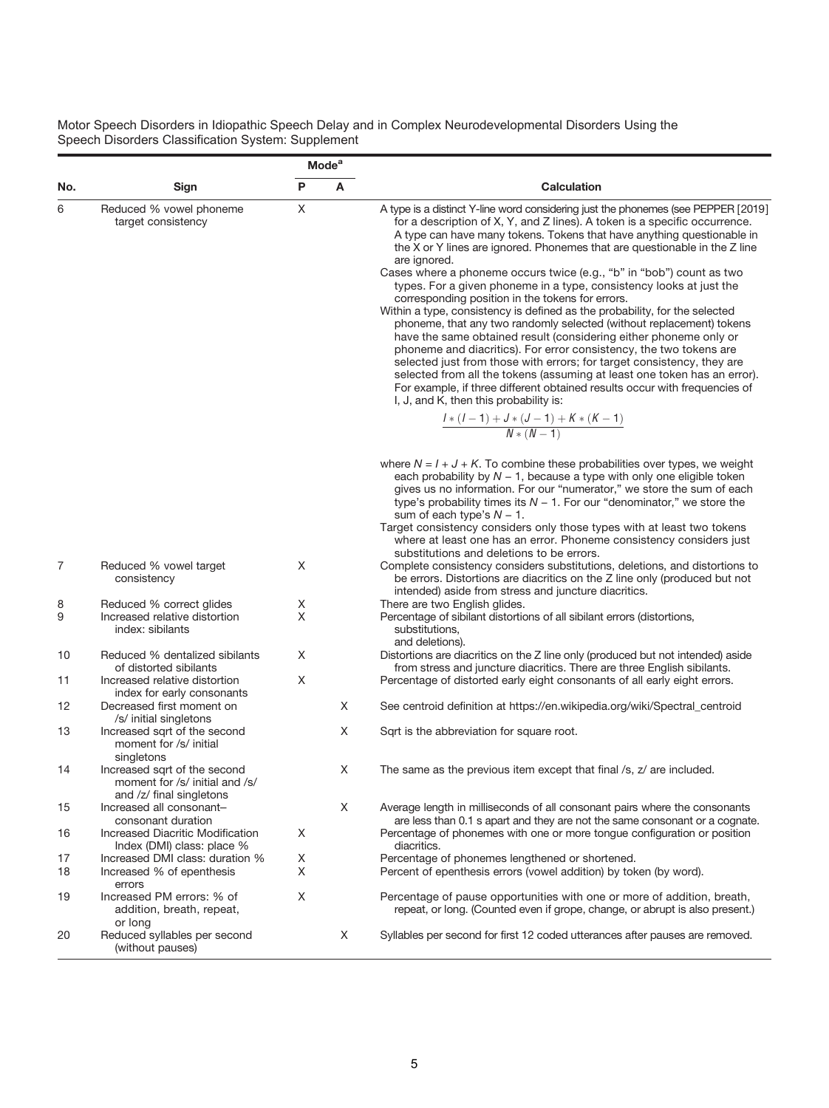|          |                                                                                            |        | <b>Mode</b> <sup>a</sup> |                                                                                                                                                                                                                                                                                                                                                                                                                                                                                                                                                                                                                                                                                                                                                                                                                                                                                                                                                                                                                                                                                                                           |  |  |  |  |  |  |
|----------|--------------------------------------------------------------------------------------------|--------|--------------------------|---------------------------------------------------------------------------------------------------------------------------------------------------------------------------------------------------------------------------------------------------------------------------------------------------------------------------------------------------------------------------------------------------------------------------------------------------------------------------------------------------------------------------------------------------------------------------------------------------------------------------------------------------------------------------------------------------------------------------------------------------------------------------------------------------------------------------------------------------------------------------------------------------------------------------------------------------------------------------------------------------------------------------------------------------------------------------------------------------------------------------|--|--|--|--|--|--|
| No.      | Sign                                                                                       | P      | Α                        | <b>Calculation</b>                                                                                                                                                                                                                                                                                                                                                                                                                                                                                                                                                                                                                                                                                                                                                                                                                                                                                                                                                                                                                                                                                                        |  |  |  |  |  |  |
| 6        | Reduced % vowel phoneme<br>target consistency                                              |        |                          | A type is a distinct Y-line word considering just the phonemes (see PEPPER [2019]<br>for a description of X, Y, and Z lines). A token is a specific occurrence.<br>A type can have many tokens. Tokens that have anything questionable in<br>the X or Y lines are ignored. Phonemes that are questionable in the Z line<br>are ignored.<br>Cases where a phoneme occurs twice (e.g., "b" in "bob") count as two<br>types. For a given phoneme in a type, consistency looks at just the<br>corresponding position in the tokens for errors.<br>Within a type, consistency is defined as the probability, for the selected<br>phoneme, that any two randomly selected (without replacement) tokens<br>have the same obtained result (considering either phoneme only or<br>phoneme and diacritics). For error consistency, the two tokens are<br>selected just from those with errors; for target consistency, they are<br>selected from all the tokens (assuming at least one token has an error).<br>For example, if three different obtained results occur with frequencies of<br>I, J, and K, then this probability is: |  |  |  |  |  |  |
|          |                                                                                            |        |                          | $\frac{I*(I-1)+J*(J-1)+K*(K-1)}{N*(N-1)}$                                                                                                                                                                                                                                                                                                                                                                                                                                                                                                                                                                                                                                                                                                                                                                                                                                                                                                                                                                                                                                                                                 |  |  |  |  |  |  |
|          |                                                                                            |        |                          | where $N = I + J + K$ . To combine these probabilities over types, we weight<br>each probability by $N - 1$ , because a type with only one eligible token<br>gives us no information. For our "numerator," we store the sum of each<br>type's probability times its $N - 1$ . For our "denominator," we store the<br>sum of each type's $N - 1$ .<br>Target consistency considers only those types with at least two tokens<br>where at least one has an error. Phoneme consistency considers just<br>substitutions and deletions to be errors.                                                                                                                                                                                                                                                                                                                                                                                                                                                                                                                                                                           |  |  |  |  |  |  |
| 7        | Reduced % vowel target<br>consistency                                                      | Χ      |                          | Complete consistency considers substitutions, deletions, and distortions to<br>be errors. Distortions are diacritics on the Z line only (produced but not<br>intended) aside from stress and juncture diacritics.                                                                                                                                                                                                                                                                                                                                                                                                                                                                                                                                                                                                                                                                                                                                                                                                                                                                                                         |  |  |  |  |  |  |
| 8<br>9   | Reduced % correct glides<br>Increased relative distortion<br>index: sibilants              | X<br>X |                          | There are two English glides.<br>Percentage of sibilant distortions of all sibilant errors (distortions,<br>substitutions,<br>and deletions).                                                                                                                                                                                                                                                                                                                                                                                                                                                                                                                                                                                                                                                                                                                                                                                                                                                                                                                                                                             |  |  |  |  |  |  |
| 10       | Reduced % dentalized sibilants<br>of distorted sibilants<br>Increased relative distortion  | Χ<br>Χ |                          | Distortions are diacritics on the Z line only (produced but not intended) aside<br>from stress and juncture diacritics. There are three English sibilants.                                                                                                                                                                                                                                                                                                                                                                                                                                                                                                                                                                                                                                                                                                                                                                                                                                                                                                                                                                |  |  |  |  |  |  |
| 11       | index for early consonants                                                                 |        |                          | Percentage of distorted early eight consonants of all early eight errors.                                                                                                                                                                                                                                                                                                                                                                                                                                                                                                                                                                                                                                                                                                                                                                                                                                                                                                                                                                                                                                                 |  |  |  |  |  |  |
| 12       | Decreased first moment on<br>/s/ initial singletons                                        |        | X                        | See centroid definition at https://en.wikipedia.org/wiki/Spectral_centroid                                                                                                                                                                                                                                                                                                                                                                                                                                                                                                                                                                                                                                                                                                                                                                                                                                                                                                                                                                                                                                                |  |  |  |  |  |  |
| 13       | Increased sqrt of the second<br>moment for /s/ initial<br>singletons                       |        | X                        | Sqrt is the abbreviation for square root.                                                                                                                                                                                                                                                                                                                                                                                                                                                                                                                                                                                                                                                                                                                                                                                                                                                                                                                                                                                                                                                                                 |  |  |  |  |  |  |
| 14       | Increased sqrt of the second<br>moment for /s/ initial and /s/<br>and /z/ final singletons |        | X                        | The same as the previous item except that final /s, z/ are included.                                                                                                                                                                                                                                                                                                                                                                                                                                                                                                                                                                                                                                                                                                                                                                                                                                                                                                                                                                                                                                                      |  |  |  |  |  |  |
| 15       | Increased all consonant-                                                                   |        | X                        | Average length in milliseconds of all consonant pairs where the consonants                                                                                                                                                                                                                                                                                                                                                                                                                                                                                                                                                                                                                                                                                                                                                                                                                                                                                                                                                                                                                                                |  |  |  |  |  |  |
| 16       | consonant duration<br>Increased Diacritic Modification<br>Index (DMI) class: place %       | X      |                          | are less than 0.1 s apart and they are not the same consonant or a cognate.<br>Percentage of phonemes with one or more tongue configuration or position<br>diacritics.                                                                                                                                                                                                                                                                                                                                                                                                                                                                                                                                                                                                                                                                                                                                                                                                                                                                                                                                                    |  |  |  |  |  |  |
| 17       | Increased DMI class: duration %                                                            | X<br>Χ |                          | Percentage of phonemes lengthened or shortened.                                                                                                                                                                                                                                                                                                                                                                                                                                                                                                                                                                                                                                                                                                                                                                                                                                                                                                                                                                                                                                                                           |  |  |  |  |  |  |
| 18<br>19 | Increased % of epenthesis<br>errors<br>Increased PM errors: % of                           | X      |                          | Percent of epenthesis errors (vowel addition) by token (by word).<br>Percentage of pause opportunities with one or more of addition, breath,                                                                                                                                                                                                                                                                                                                                                                                                                                                                                                                                                                                                                                                                                                                                                                                                                                                                                                                                                                              |  |  |  |  |  |  |
| 20       | addition, breath, repeat,<br>or long<br>Reduced syllables per second                       |        | X                        | repeat, or long. (Counted even if grope, change, or abrupt is also present.)<br>Syllables per second for first 12 coded utterances after pauses are removed.                                                                                                                                                                                                                                                                                                                                                                                                                                                                                                                                                                                                                                                                                                                                                                                                                                                                                                                                                              |  |  |  |  |  |  |
|          | (without pauses)                                                                           |        |                          |                                                                                                                                                                                                                                                                                                                                                                                                                                                                                                                                                                                                                                                                                                                                                                                                                                                                                                                                                                                                                                                                                                                           |  |  |  |  |  |  |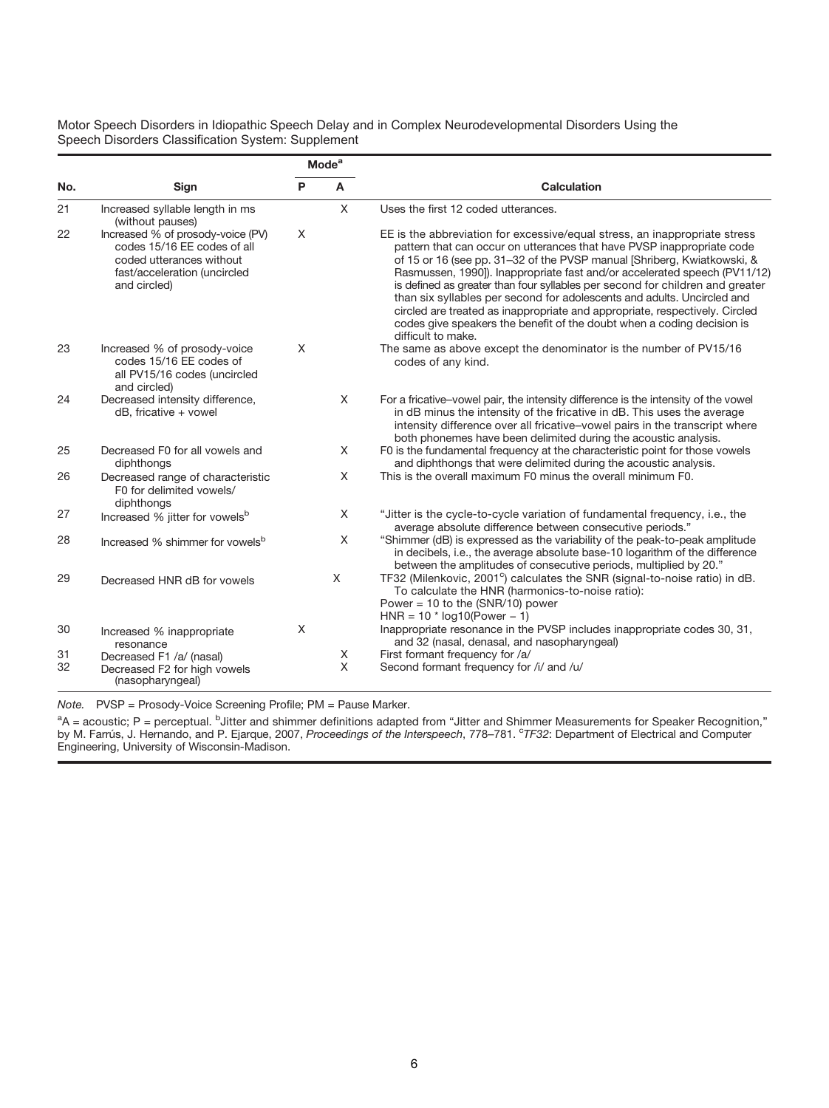|     |                                                                                                                                              |          | <b>Mode</b> <sup>a</sup> |                                                                                                                                                                                                                                                                                                                                                                                                                                                                                                                                                                                                                                                         |
|-----|----------------------------------------------------------------------------------------------------------------------------------------------|----------|--------------------------|---------------------------------------------------------------------------------------------------------------------------------------------------------------------------------------------------------------------------------------------------------------------------------------------------------------------------------------------------------------------------------------------------------------------------------------------------------------------------------------------------------------------------------------------------------------------------------------------------------------------------------------------------------|
| No. | Sign                                                                                                                                         | P        | A                        | <b>Calculation</b>                                                                                                                                                                                                                                                                                                                                                                                                                                                                                                                                                                                                                                      |
| 21  | Increased syllable length in ms<br>(without pauses)                                                                                          |          | $\mathsf{X}$             | Uses the first 12 coded utterances.                                                                                                                                                                                                                                                                                                                                                                                                                                                                                                                                                                                                                     |
| 22  | Increased % of prosody-voice (PV)<br>codes 15/16 EE codes of all<br>coded utterances without<br>fast/acceleration (uncircled<br>and circled) | $\times$ |                          | EE is the abbreviation for excessive/equal stress, an inappropriate stress<br>pattern that can occur on utterances that have PVSP inappropriate code<br>of 15 or 16 (see pp. 31–32 of the PVSP manual [Shriberg, Kwiatkowski, &<br>Rasmussen, 1990]). Inappropriate fast and/or accelerated speech (PV11/12)<br>is defined as greater than four syllables per second for children and greater<br>than six syllables per second for adolescents and adults. Uncircled and<br>circled are treated as inappropriate and appropriate, respectively. Circled<br>codes give speakers the benefit of the doubt when a coding decision is<br>difficult to make. |
| 23  | Increased % of prosody-voice<br>codes 15/16 EE codes of<br>all PV15/16 codes (uncircled<br>and circled)                                      | X        |                          | The same as above except the denominator is the number of PV15/16<br>codes of any kind.                                                                                                                                                                                                                                                                                                                                                                                                                                                                                                                                                                 |
| 24  | Decreased intensity difference,<br>dB, fricative + vowel                                                                                     |          | X                        | For a fricative-vowel pair, the intensity difference is the intensity of the vowel<br>in dB minus the intensity of the fricative in dB. This uses the average<br>intensity difference over all fricative-vowel pairs in the transcript where<br>both phonemes have been delimited during the acoustic analysis.                                                                                                                                                                                                                                                                                                                                         |
| 25  | Decreased F0 for all vowels and<br>diphthongs                                                                                                |          | $\times$                 | F0 is the fundamental frequency at the characteristic point for those vowels<br>and diphthongs that were delimited during the acoustic analysis.                                                                                                                                                                                                                                                                                                                                                                                                                                                                                                        |
| 26  | Decreased range of characteristic<br>F0 for delimited vowels/<br>diphthongs                                                                  |          | X                        | This is the overall maximum F0 minus the overall minimum F0.                                                                                                                                                                                                                                                                                                                                                                                                                                                                                                                                                                                            |
| 27  | Increased % jitter for vowels <sup>b</sup>                                                                                                   |          | X                        | "Jitter is the cycle-to-cycle variation of fundamental frequency, i.e., the<br>average absolute difference between consecutive periods."                                                                                                                                                                                                                                                                                                                                                                                                                                                                                                                |
| 28  | Increased % shimmer for vowels <sup>b</sup>                                                                                                  |          | X                        | "Shimmer (dB) is expressed as the variability of the peak-to-peak amplitude<br>in decibels, i.e., the average absolute base-10 logarithm of the difference<br>between the amplitudes of consecutive periods, multiplied by 20."                                                                                                                                                                                                                                                                                                                                                                                                                         |
| 29  | Decreased HNR dB for vowels                                                                                                                  |          | $\times$                 | TF32 (Milenkovic, 2001 <sup>c</sup> ) calculates the SNR (signal-to-noise ratio) in dB.<br>To calculate the HNR (harmonics-to-noise ratio):<br>Power = 10 to the $(SNR/10)$ power<br>$HNR = 10 * log10 (Power - 1)$                                                                                                                                                                                                                                                                                                                                                                                                                                     |
| 30  | Increased % inappropriate<br>resonance                                                                                                       | X        |                          | Inappropriate resonance in the PVSP includes inappropriate codes 30, 31,<br>and 32 (nasal, denasal, and nasopharyngeal)                                                                                                                                                                                                                                                                                                                                                                                                                                                                                                                                 |
| 31  | Decreased F1 /a/ (nasal)                                                                                                                     |          | Χ                        | First formant frequency for /a/                                                                                                                                                                                                                                                                                                                                                                                                                                                                                                                                                                                                                         |
| 32  | Decreased F2 for high vowels<br>(nasopharyngeal)                                                                                             |          | X                        | Second formant frequency for /i/ and /u/                                                                                                                                                                                                                                                                                                                                                                                                                                                                                                                                                                                                                |

Note. PVSP = Prosody-Voice Screening Profile; PM = Pause Marker.

<sup>a</sup>A = acoustic; P = perceptual. <sup>b</sup>Jitter and shimmer definitions adapted from "Jitter and Shimmer Measurements for Speaker Recognition,"<br>by M. Farrús, J. Hernando, and P. Ejarque, 2007, *Proceedings of the Interspeech*, Engineering, University of Wisconsin-Madison.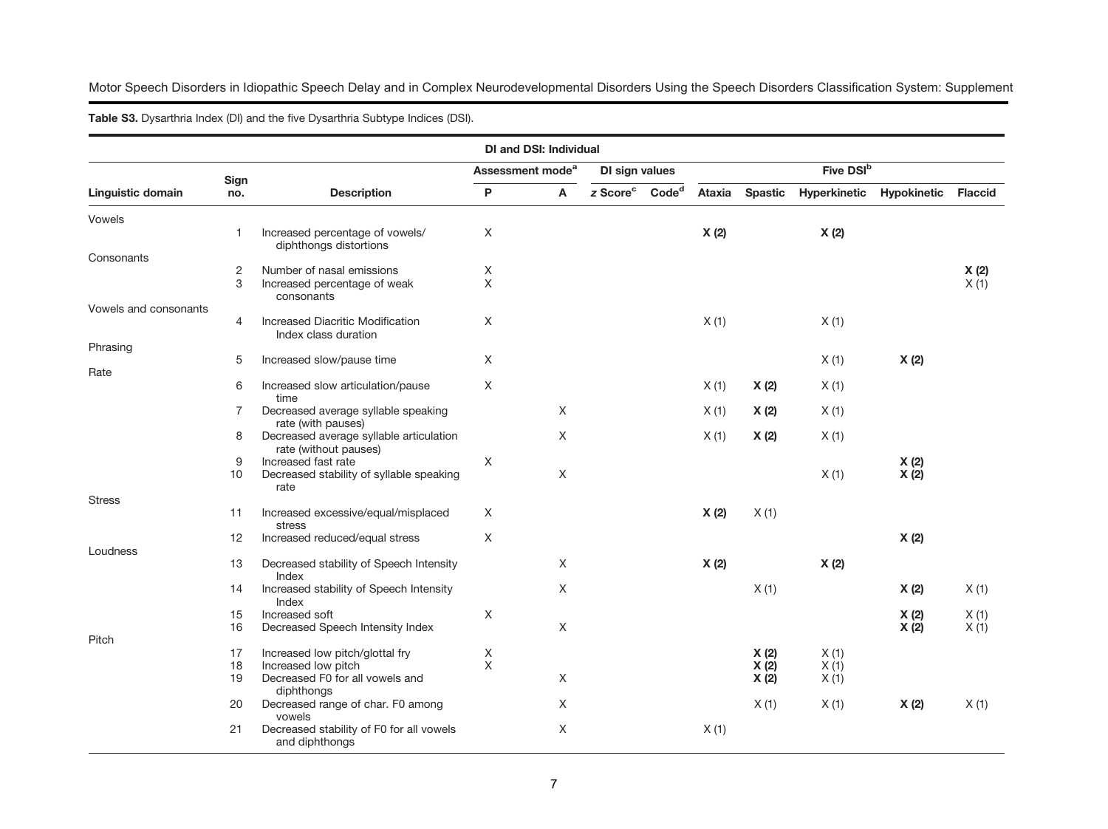Table **<sup>S</sup>**3. Dysarthria Index (DI) and the five Dysarthria Subtype Indices (DSI).

|                       |                |                                                               |   | <b>DI and DSI: Individual</b> |                                        |        |                |                       |                    |                |
|-----------------------|----------------|---------------------------------------------------------------|---|-------------------------------|----------------------------------------|--------|----------------|-----------------------|--------------------|----------------|
|                       | Sign           |                                                               |   | Assessment mode <sup>a</sup>  | DI sign values                         |        |                | Five DSI <sup>b</sup> |                    |                |
| Linguistic domain     | no.            | <b>Description</b>                                            | P | A                             | z Score <sup>c</sup> Code <sup>d</sup> | Ataxia | <b>Spastic</b> | Hyperkinetic          | <b>Hypokinetic</b> | <b>Flaccid</b> |
| Vowels                |                |                                                               |   |                               |                                        |        |                |                       |                    |                |
|                       | -1             | Increased percentage of vowels/                               | X |                               |                                        | X(2)   |                | X(2)                  |                    |                |
| Consonants            |                | diphthongs distortions                                        |   |                               |                                        |        |                |                       |                    |                |
|                       | $\overline{c}$ | Number of nasal emissions                                     | X |                               |                                        |        |                |                       |                    | X(2)           |
|                       | 3              | Increased percentage of weak                                  | X |                               |                                        |        |                |                       |                    | X(1)           |
| Vowels and consonants |                | consonants                                                    |   |                               |                                        |        |                |                       |                    |                |
|                       | $\overline{4}$ | Increased Diacritic Modification                              | X |                               |                                        | X(1)   |                | X(1)                  |                    |                |
|                       |                | Index class duration                                          |   |                               |                                        |        |                |                       |                    |                |
| Phrasing              |                |                                                               |   |                               |                                        |        |                |                       |                    |                |
|                       | 5              | Increased slow/pause time                                     | X |                               |                                        |        |                | X(1)                  | X(2)               |                |
| Rate                  | 6              | Increased slow articulation/pause                             | X |                               |                                        | X(1)   | X(2)           | X(1)                  |                    |                |
|                       |                | time                                                          |   |                               |                                        |        |                |                       |                    |                |
|                       | 7              | Decreased average syllable speaking                           |   | X                             |                                        | X(1)   | X(2)           | X(1)                  |                    |                |
|                       | 8              | rate (with pauses)<br>Decreased average syllable articulation |   | X                             |                                        |        |                |                       |                    |                |
|                       |                | rate (without pauses)                                         |   |                               |                                        | X(1)   | X(2)           | X(1)                  |                    |                |
|                       | 9              | Increased fast rate                                           | X |                               |                                        |        |                |                       | X(2)               |                |
|                       | 10             | Decreased stability of syllable speaking                      |   | X                             |                                        |        |                | X(1)                  | X(2)               |                |
|                       |                | rate                                                          |   |                               |                                        |        |                |                       |                    |                |
| <b>Stress</b>         | 11             | Increased excessive/equal/misplaced                           | X |                               |                                        | X(2)   | X(1)           |                       |                    |                |
|                       |                | stress                                                        |   |                               |                                        |        |                |                       |                    |                |
|                       | 12             | Increased reduced/equal stress                                | X |                               |                                        |        |                |                       | X(2)               |                |
| Loudness              | 13             |                                                               |   | X                             |                                        |        |                |                       |                    |                |
|                       |                | Decreased stability of Speech Intensity<br>Index              |   |                               |                                        | X(2)   |                | X(2)                  |                    |                |
|                       | 14             | Increased stability of Speech Intensity<br>Index              |   | $\times$                      |                                        |        | X(1)           |                       | X(2)               | X(1)           |
|                       | 15             | Increased soft                                                | X |                               |                                        |        |                |                       | X(2)               | X(1)           |
|                       | 16             | Decreased Speech Intensity Index                              |   | X                             |                                        |        |                |                       | X(2)               | X(1)           |
| Pitch                 | 17             | Increased low pitch/glottal fry                               | X |                               |                                        |        |                | X(1)                  |                    |                |
|                       | 18             | Increased low pitch                                           | X |                               |                                        |        | X(2)<br>X(2)   | X(1)                  |                    |                |
|                       | 19             | Decreased F0 for all vowels and                               |   | X                             |                                        |        | X(2)           | X(1)                  |                    |                |
|                       |                | diphthongs                                                    |   |                               |                                        |        |                |                       |                    |                |
|                       | 20             | Decreased range of char. F0 among                             |   | Χ                             |                                        |        | X(1)           | X(1)                  | X(2)               | X(1)           |
|                       | 21             | vowels<br>Decreased stability of F0 for all vowels            |   | X                             |                                        | X(1)   |                |                       |                    |                |
|                       |                | and diphthongs                                                |   |                               |                                        |        |                |                       |                    |                |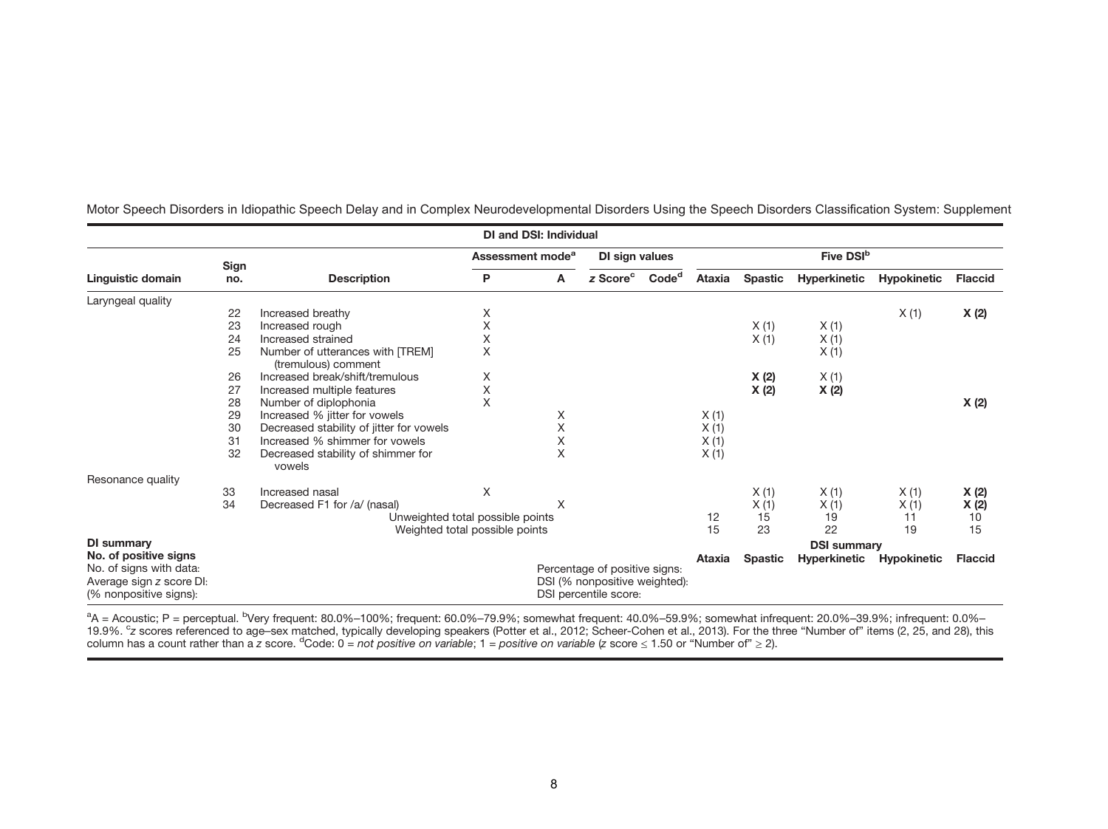|                                                                               |      |                                                         |              | <b>DI and DSI: Individual</b> |                                                                                         |                   |        |                |                       |                    |                |
|-------------------------------------------------------------------------------|------|---------------------------------------------------------|--------------|-------------------------------|-----------------------------------------------------------------------------------------|-------------------|--------|----------------|-----------------------|--------------------|----------------|
|                                                                               | Sign |                                                         |              | Assessment mode <sup>a</sup>  | DI sign values                                                                          |                   |        |                | Five DSI <sup>b</sup> |                    |                |
| Linguistic domain                                                             | no.  | <b>Description</b>                                      | P<br>A       |                               | z Score <sup>c</sup>                                                                    | Code <sup>d</sup> | Ataxia | <b>Spastic</b> | <b>Hyperkinetic</b>   | <b>Hypokinetic</b> | <b>Flaccid</b> |
| Laryngeal quality                                                             |      |                                                         |              |                               |                                                                                         |                   |        |                |                       |                    |                |
|                                                                               | 22   | Increased breathy                                       | Χ            |                               |                                                                                         |                   |        |                |                       | X(1)               | X (2)          |
|                                                                               | 23   | Increased rough                                         | $\mathsf{X}$ |                               |                                                                                         |                   |        | X(1)           | X(1)                  |                    |                |
|                                                                               | 24   | Increased strained                                      | X            |                               |                                                                                         |                   |        | X(1)           | X(1)                  |                    |                |
|                                                                               | 25   | Number of utterances with [TREM]<br>(tremulous) comment | X            |                               |                                                                                         |                   |        |                | X(1)                  |                    |                |
|                                                                               | 26   | Increased break/shift/tremulous                         | Χ            |                               |                                                                                         |                   |        | X(2)           | X(1)                  |                    |                |
|                                                                               | 27   | Increased multiple features                             | X            |                               |                                                                                         |                   |        | X(2)           | X(2)                  |                    |                |
|                                                                               | 28   | Number of diplophonia                                   | X            |                               |                                                                                         |                   |        |                |                       |                    | X (2)          |
|                                                                               | 29   | Increased % jitter for vowels                           |              | X                             |                                                                                         |                   | X(1)   |                |                       |                    |                |
|                                                                               | 30   | Decreased stability of jitter for vowels                |              | X                             |                                                                                         |                   | X(1)   |                |                       |                    |                |
|                                                                               | 31   | Increased % shimmer for yowels                          |              | Χ                             |                                                                                         |                   | X(1)   |                |                       |                    |                |
|                                                                               | 32   | Decreased stability of shimmer for<br>vowels            |              | $\times$                      |                                                                                         |                   | X(1)   |                |                       |                    |                |
| Resonance quality                                                             |      |                                                         |              |                               |                                                                                         |                   |        |                |                       |                    |                |
|                                                                               | 33   | Increased nasal                                         | Χ            |                               |                                                                                         |                   |        | X(1)           | X(1)                  | X(1)               | X(2)           |
|                                                                               | 34   | Decreased F1 for /a/ (nasal)                            |              | X                             |                                                                                         |                   |        | X(1)           | X(1)                  | X(1)               | X (2)          |
|                                                                               |      | Unweighted total possible points                        |              |                               |                                                                                         |                   | 12     | 15             | 19                    | 11                 | 10             |
|                                                                               |      | Weighted total possible points                          |              |                               |                                                                                         |                   | 15     | 23             | 22                    | 19                 | 15             |
| DI summary                                                                    |      |                                                         |              |                               |                                                                                         |                   |        |                | <b>DSI summary</b>    |                    |                |
| No. of positive signs                                                         |      |                                                         |              |                               |                                                                                         |                   | Ataxia | <b>Spastic</b> | <b>Hyperkinetic</b>   | <b>Hypokinetic</b> | <b>Flaccid</b> |
| No. of signs with data:<br>Average sign z score DI:<br>(% nonpositive signs): |      |                                                         |              |                               | Percentage of positive signs:<br>DSI (% nonpositive weighted):<br>DSI percentile score: |                   |        |                |                       |                    |                |

<sup>a</sup>A = Acoustic; P = perceptual. <sup>b</sup>Very frequent: 80.0%–100%; frequent: 60.0%–79.9%; somewhat frequent: 40.0%–59.9%; somewhat infrequent: 20.0%–39.9%; infrequent: 0.0%–<br>19.9%. <sup>c</sup>z scores referenced to age–sex matched, t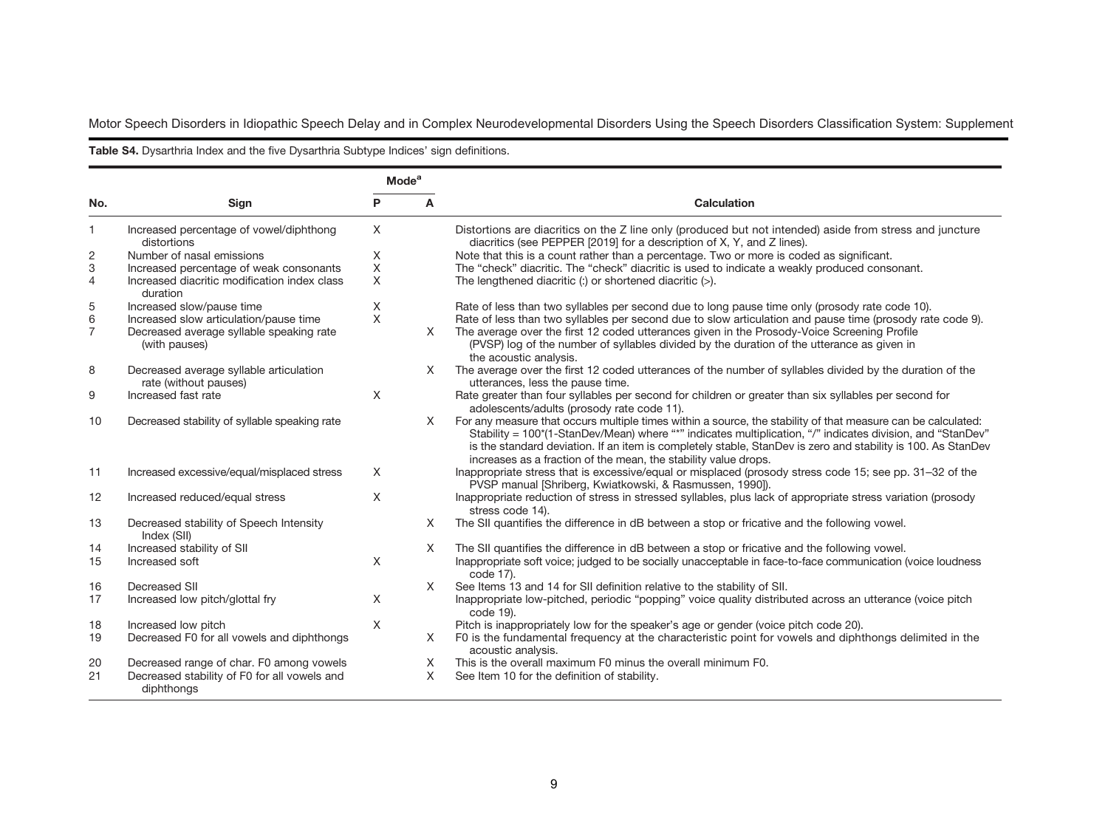Table **<sup>S</sup>**4. Dysarthria Index and the five Dysarthria Subtype Indices' sign definitions.

|                         |                                                                                                     | <b>Mode</b> <sup>a</sup> |          |                                                                                                                                                                                                                                                                                                                                                                                                               |
|-------------------------|-----------------------------------------------------------------------------------------------------|--------------------------|----------|---------------------------------------------------------------------------------------------------------------------------------------------------------------------------------------------------------------------------------------------------------------------------------------------------------------------------------------------------------------------------------------------------------------|
| No.                     | Sign                                                                                                | P                        | A        | <b>Calculation</b>                                                                                                                                                                                                                                                                                                                                                                                            |
| 1                       | Increased percentage of vowel/diphthong<br>distortions                                              | X                        |          | Distortions are diacritics on the Z line only (produced but not intended) aside from stress and juncture<br>diacritics (see PEPPER [2019] for a description of X, Y, and Z lines).                                                                                                                                                                                                                            |
| 2                       | Number of nasal emissions                                                                           | X                        |          | Note that this is a count rather than a percentage. Two or more is coded as significant.                                                                                                                                                                                                                                                                                                                      |
| 3                       | Increased percentage of weak consonants                                                             | X                        |          | The "check" diacritic. The "check" diacritic is used to indicate a weakly produced consonant.                                                                                                                                                                                                                                                                                                                 |
| $\overline{4}$          | Increased diacritic modification index class<br>duration                                            | X                        |          | The lengthened diacritic (:) or shortened diacritic $(>)$ .                                                                                                                                                                                                                                                                                                                                                   |
| 5                       | Increased slow/pause time                                                                           | X                        |          | Rate of less than two syllables per second due to long pause time only (prosody rate code 10).                                                                                                                                                                                                                                                                                                                |
| $\,6$<br>$\overline{7}$ | Increased slow articulation/pause time<br>Decreased average syllable speaking rate<br>(with pauses) | $\times$                 | $\times$ | Rate of less than two syllables per second due to slow articulation and pause time (prosody rate code 9).<br>The average over the first 12 coded utterances given in the Prosody-Voice Screening Profile<br>(PVSP) log of the number of syllables divided by the duration of the utterance as given in<br>the acoustic analysis.                                                                              |
| 8                       | Decreased average syllable articulation<br>rate (without pauses)                                    |                          | X        | The average over the first 12 coded utterances of the number of syllables divided by the duration of the<br>utterances, less the pause time.                                                                                                                                                                                                                                                                  |
| 9                       | Increased fast rate                                                                                 | $\times$                 |          | Rate greater than four syllables per second for children or greater than six syllables per second for<br>adolescents/adults (prosody rate code 11).                                                                                                                                                                                                                                                           |
| 10                      | Decreased stability of syllable speaking rate                                                       |                          | X        | For any measure that occurs multiple times within a source, the stability of that measure can be calculated:<br>Stability = 100*(1-StanDev/Mean) where "*" indicates multiplication, "/" indicates division, and "StanDev"<br>is the standard deviation. If an item is completely stable, StanDev is zero and stability is 100. As StanDev<br>increases as a fraction of the mean, the stability value drops. |
| 11                      | Increased excessive/equal/misplaced stress                                                          | X                        |          | Inappropriate stress that is excessive/equal or misplaced (prosody stress code 15; see pp. 31-32 of the<br>PVSP manual [Shriberg, Kwiatkowski, & Rasmussen, 1990]).                                                                                                                                                                                                                                           |
| 12                      | Increased reduced/equal stress                                                                      | X                        |          | Inappropriate reduction of stress in stressed syllables, plus lack of appropriate stress variation (prosody<br>stress code 14).                                                                                                                                                                                                                                                                               |
| 13                      | Decreased stability of Speech Intensity<br>Index (SII)                                              |                          | X        | The SII quantifies the difference in dB between a stop or fricative and the following vowel.                                                                                                                                                                                                                                                                                                                  |
| 14                      | Increased stability of SII                                                                          |                          | X        | The SII quantifies the difference in dB between a stop or fricative and the following vowel.                                                                                                                                                                                                                                                                                                                  |
| 15                      | Increased soft                                                                                      | X                        |          | Inappropriate soft voice; judged to be socially unacceptable in face-to-face communication (voice loudness<br>code 17).                                                                                                                                                                                                                                                                                       |
| 16                      | Decreased SII                                                                                       |                          | $\times$ | See Items 13 and 14 for SII definition relative to the stability of SII.                                                                                                                                                                                                                                                                                                                                      |
| 17                      | Increased low pitch/glottal fry                                                                     | X                        |          | Inappropriate low-pitched, periodic "popping" voice quality distributed across an utterance (voice pitch<br>code 19).                                                                                                                                                                                                                                                                                         |
| 18                      | Increased low pitch                                                                                 | X                        |          | Pitch is inappropriately low for the speaker's age or gender (voice pitch code 20).                                                                                                                                                                                                                                                                                                                           |
| 19                      | Decreased F0 for all vowels and diphthongs                                                          |                          | $\times$ | F0 is the fundamental frequency at the characteristic point for vowels and diphthongs delimited in the<br>acoustic analysis.                                                                                                                                                                                                                                                                                  |
| 20                      | Decreased range of char. F0 among vowels                                                            |                          | X        | This is the overall maximum F0 minus the overall minimum F0.                                                                                                                                                                                                                                                                                                                                                  |
| 21                      | Decreased stability of F0 for all vowels and<br>diphthongs                                          |                          | X        | See Item 10 for the definition of stability.                                                                                                                                                                                                                                                                                                                                                                  |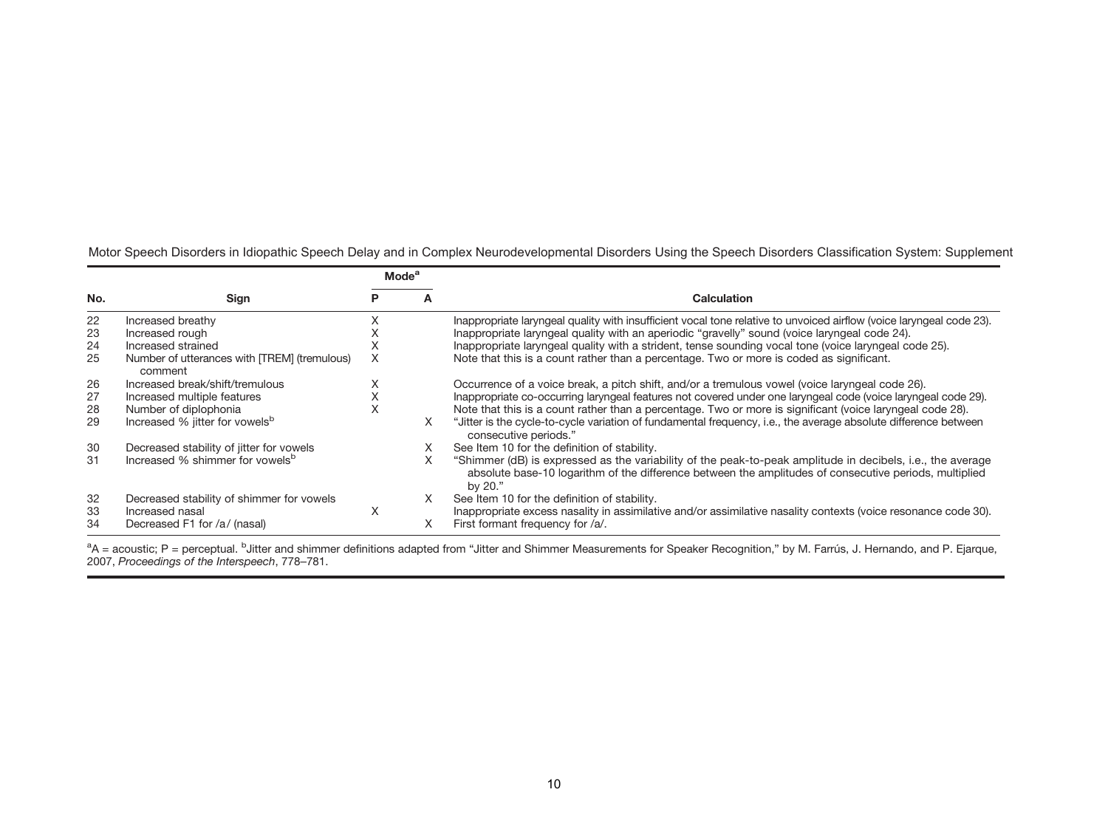|     |                                                         | <b>Mode</b> <sup>a</sup> |   |                                                                                                                                                                                                                                 |
|-----|---------------------------------------------------------|--------------------------|---|---------------------------------------------------------------------------------------------------------------------------------------------------------------------------------------------------------------------------------|
| No. | Sign                                                    | Р                        |   | Calculation                                                                                                                                                                                                                     |
| 22  | Increased breathy                                       |                          |   | Inappropriate laryngeal quality with insufficient vocal tone relative to unvoiced airflow (voice laryngeal code 23).                                                                                                            |
| 23  | Increased rough                                         |                          |   | Inappropriate laryngeal quality with an aperiodic "gravelly" sound (voice laryngeal code 24).                                                                                                                                   |
| 24  | Increased strained                                      | ∧                        |   | Inappropriate laryngeal quality with a strident, tense sounding vocal tone (voice laryngeal code 25).                                                                                                                           |
| 25  | Number of utterances with [TREM] (tremulous)<br>comment | X                        |   | Note that this is a count rather than a percentage. Two or more is coded as significant.                                                                                                                                        |
| 26  | Increased break/shift/tremulous                         |                          |   | Occurrence of a voice break, a pitch shift, and/or a tremulous vowel (voice laryngeal code 26).                                                                                                                                 |
| 27  | Increased multiple features                             |                          |   | Inappropriate co-occurring laryngeal features not covered under one laryngeal code (voice laryngeal code 29).                                                                                                                   |
| 28  | Number of diplophonia                                   | л                        |   | Note that this is a count rather than a percentage. Two or more is significant (voice laryngeal code 28).                                                                                                                       |
| 29  | Increased % jitter for vowels <sup>b</sup>              |                          | X | "Jitter is the cycle-to-cycle variation of fundamental frequency, i.e., the average absolute difference between<br>consecutive periods."                                                                                        |
| 30  | Decreased stability of jitter for vowels                |                          |   | See Item 10 for the definition of stability.                                                                                                                                                                                    |
| 31  | Increased % shimmer for yowels <sup>b</sup>             |                          | X | "Shimmer (dB) is expressed as the variability of the peak-to-peak amplitude in decibels, i.e., the average<br>absolute base-10 logarithm of the difference between the amplitudes of consecutive periods, multiplied<br>by 20." |
| 32  | Decreased stability of shimmer for vowels               |                          | X | See Item 10 for the definition of stability.                                                                                                                                                                                    |
| 33  | Increased nasal                                         | X                        |   | Inappropriate excess nasality in assimilative and/or assimilative nasality contexts (voice resonance code 30).                                                                                                                  |
| 34  | Decreased F1 for /a/ (nasal)                            |                          |   | First formant frequency for /a/.                                                                                                                                                                                                |

<sup>a</sup>A = acoustic; P = perceptual. <sup>b</sup>Jitter and shimmer definitions adapted from "Jitter and Shimmer Measurements for Speaker Recognition," by M. Farrús, J. Hernando, and P. Ejarque, 2007, Proceedings of the Interspeech, 778–781.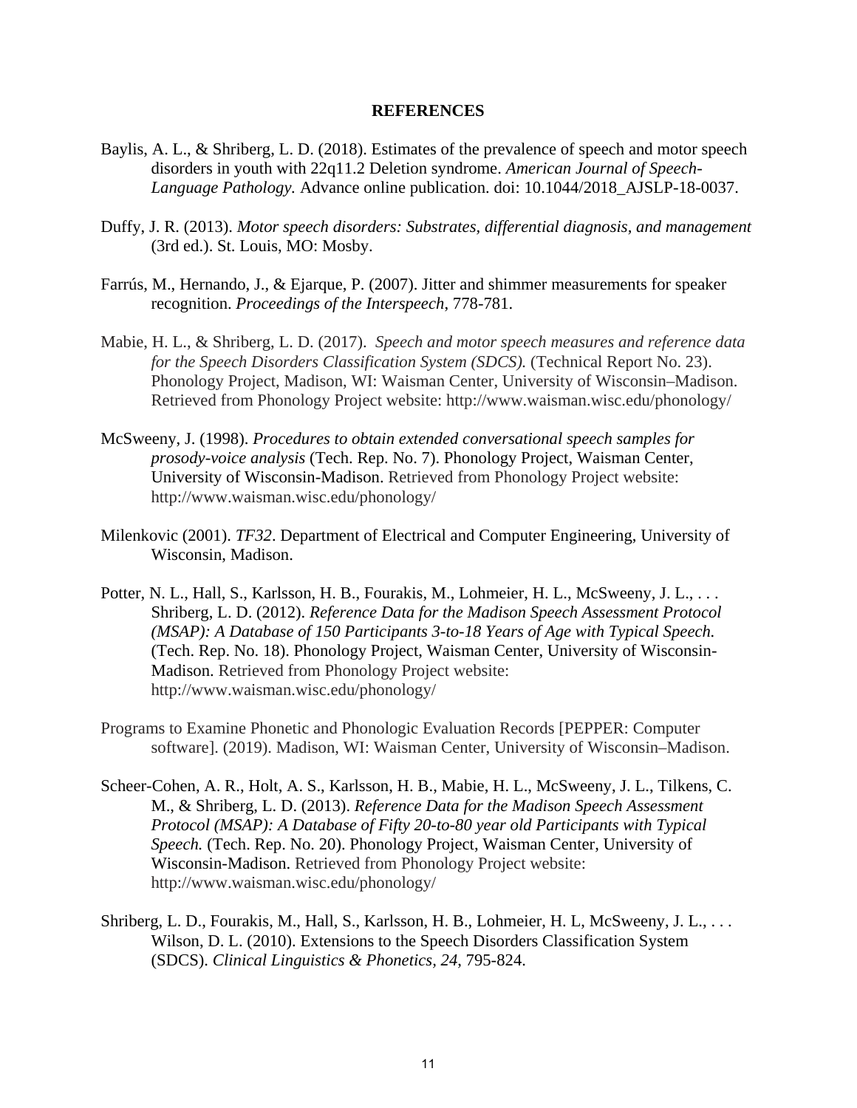### **REFERENCES**

- Baylis, A. L., & Shriberg, L. D. (2018). Estimates of the prevalence of speech and motor speech disorders in youth with 22q11.2 Deletion syndrome. *American Journal of Speech- Language Pathology.* Advance online publication. doi: 10.1044/2018\_AJSLP-18-0037.
- Duffy, J. R. (2013). *Motor speech disorders: Substrates, differential diagnosis, and management*  (3rd ed.). St. Louis, MO: Mosby.
- Farrús, M., Hernando, J., & Ejarque, P. (2007). Jitter and shimmer measurements for speaker recognition. *Proceedings of the Interspeech*, 778-781.
- Mabie, H. L., & Shriberg, L. D. (2017). *Speech and motor speech measures and reference data for the Speech Disorders Classification System (SDCS).* (Technical Report No. 23). Phonology Project, Madison, WI: Waisman Center, University of Wisconsin–Madison. Retrieved from Phonology Project website: http://www.waisman.wisc.edu/phonology/
- McSweeny, J. (1998). *Procedures to obtain extended conversational speech samples for prosody-voice analysis* (Tech. Rep. No. 7). Phonology Project, Waisman Center, University of Wisconsin-Madison. Retrieved from Phonology Project website: http://www.waisman.wisc.edu/phonology/
- Milenkovic (2001). *TF32*. Department of Electrical and Computer Engineering, University of Wisconsin, Madison.
- Potter, N. L., Hall, S., Karlsson, H. B., Fourakis, M., Lohmeier, H. L., McSweeny, J. L., ... Shriberg, L. D. (2012). *Reference Data for the Madison Speech Assessment Protocol (MSAP): A Database of 150 Participants 3-to-18 Years of Age with Typical Speech.* (Tech. Rep. No. 18). Phonology Project, Waisman Center, University of Wisconsin- Madison. Retrieved from Phonology Project website: http://www.waisman.wisc.edu/phonology/
- Programs to Examine Phonetic and Phonologic Evaluation Records [PEPPER: Computer software]. (2019). Madison, WI: Waisman Center, University of Wisconsin–Madison.
- Scheer-Cohen, A. R., Holt, A. S., Karlsson, H. B., Mabie, H. L., McSweeny, J. L., Tilkens, C. M., & Shriberg, L. D. (2013). *Reference Data for the Madison Speech Assessment Protocol (MSAP): A Database of Fifty 20-to-80 year old Participants with Typical Speech.* (Tech. Rep. No. 20). Phonology Project, Waisman Center, University of Wisconsin-Madison. Retrieved from Phonology Project website: http://www.waisman.wisc.edu/phonology/
- Shriberg, L. D., Fourakis, M., Hall, S., Karlsson, H. B., Lohmeier, H. L, McSweeny, J. L., . . . Wilson, D. L. (2010). Extensions to the Speech Disorders Classification System (SDCS). *Clinical Linguistics & Phonetics, 24*, 795-824.